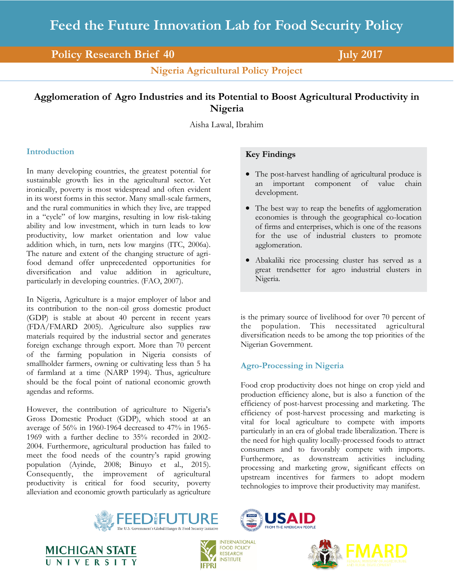**Policy Research Brief 40** July 2017

**Nigeria Agricultural Policy Project**

# **Agglomeration of Agro Industries and its Potential to Boost Agricultural Productivity in Nigeria**

Aisha Lawal, Ibrahim

## **Introduction**

In many developing countries, the greatest potential for sustainable growth lies in the agricultural sector. Yet ironically, poverty is most widespread and often evident in its worst forms in this sector. Many small-scale farmers, and the rural communities in which they live, are trapped in a "cycle" of low margins, resulting in low risk-taking ability and low investment, which in turn leads to low productivity, low market orientation and low value addition which, in turn, nets low margins (ITC, 2006a). The nature and extent of the changing structure of agrifood demand offer unprecedented opportunities for diversification and value addition in agriculture, particularly in developing countries. (FAO, 2007).

In Nigeria, Agriculture is a major employer of labor and its contribution to the non-oil gross domestic product (GDP) is stable at about 40 percent in recent years (FDA/FMARD 2005). Agriculture also supplies raw materials required by the industrial sector and generates foreign exchange through export. More than 70 percent of the farming population in Nigeria consists of smallholder farmers, owning or cultivating less than 5 ha of farmland at a time (NARP 1994). Thus, agriculture should be the focal point of national economic growth agendas and reforms.

However, the contribution of agriculture to Nigeria's Gross Domestic Product (GDP), which stood at an average of 56% in 1960-1964 decreased to 47% in 1965- 1969 with a further decline to 35% recorded in 2002- 2004. Furthermore, agricultural production has failed to meet the food needs of the country's rapid growing population (Ayinde, 2008; Binuyo et al., 2015). Consequently, the improvement of agricultural productivity is critical for food security, poverty alleviation and economic growth particularly as agriculture

## **Key Findings**

- The post-harvest handling of agricultural produce is an important component of value chain development.
- The best way to reap the benefits of agglomeration economies is through the geographical co-location of firms and enterprises, which is one of the reasons for the use of industrial clusters to promote agglomeration.
- Abakaliki rice processing cluster has served as a great trendsetter for agro industrial clusters in Nigeria.

is the primary source of livelihood for over 70 percent of the population. This necessitated agricultural diversification needs to be among the top priorities of the Nigerian Government.

## **Agro-Processing in Nigeria**

Food crop productivity does not hinge on crop yield and production efficiency alone, but is also a function of the efficiency of post-harvest processing and marketing. The efficiency of post-harvest processing and marketing is vital for local agriculture to compete with imports particularly in an era of global trade liberalization. There is the need for high quality locally-processed foods to attract consumers and to favorably compete with imports. Furthermore, as downstream activities including processing and marketing grow, significant effects on upstream incentives for farmers to adopt modern technologies to improve their productivity may manifest.









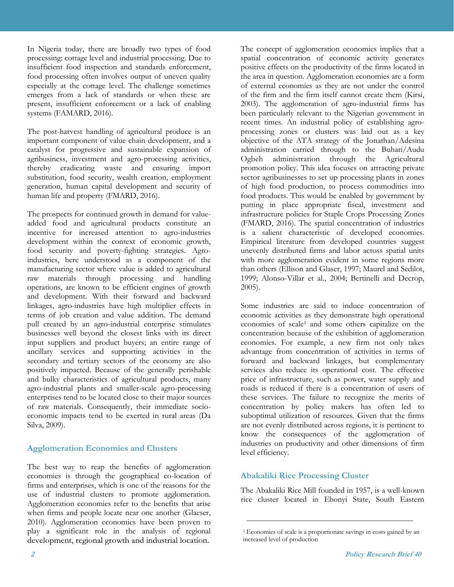In Nigeria today, there are broadly two types of food processing: cottage level and industrial processing. Due to insufficient food inspection and standards enforcement, food processing often involves output of uneven quality especially at the cottage level. The challenge sometimes emerges from a lack of standards or when these are present, insufficient enforcement or a lack of enabling systems (FAMARD, 2016).

The post-harvest handling of agricultural produce is an important component of value chain development, and a catalyst for progressive and sustainable expansion of agribusiness, investment and agro-processing activities, thereby eradicating waste and ensuring import substitution, food security, wealth creation, employment generation, human capital development and security of human life and property (FMARD, 2016).

The prospects for continued growth in demand for valueadded food and agricultural products constitute an incentive for increased attention to agro-industries development within the context of economic growth, food security and poverty-fighting strategies. Agroindustries, here understood as a component of the manufacturing sector where value is added to agricultural raw materials through processing and handling operations, are known to be efficient engines of growth and development. With their forward and backward linkages, agro-industries have high multiplier effects in terms of job creation and value addition. The demand pull created by an agro-industrial enterprise stimulates businesses well beyond the closest links with its direct input suppliers and product buyers; an entire range of ancillary services and supporting activities in the secondary and tertiary sectors of the economy are also positively impacted. Because of the generally perishable and bulky characteristics of agricultural products, many agro-industrial plants and smaller-scale agro-processing enterprises tend to be located close to their major sources of raw materials. Consequently, their immediate socioeconomic impacts tend to be exerted in rural areas (Da Silva, 2009).

## **Agglomeration Economies and Clusters**

The best way to reap the benefits of agglomeration economies is through the geographical co-location of firms and enterprises, which is one of the reasons for the use of industrial clusters to promote agglomeration. Agglomeration economies refer to the benefits that arise when firms and people locate near one another (Glaeser, 2010). Agglomeration economies have been proven to play a significant role in the analysis of regional development, regional growth and industrial location.

The concept of agglomeration economies implies that a spatial concentration of economic activity generates positive effects on the productivity of the firms located in the area in question. Agglomeration economies are a form of external economies as they are not under the control of the firm and the firm itself cannot create them (Kirsi, 2003). The agglomeration of agro-industrial firms has been particularly relevant to the Nigerian government in recent times. An industrial policy of establishing agroprocessing zones or clusters was laid out as a key objective of the ATA strategy of the Jonathan/Adesina administration carried through to the Buhari/Audu Ogbeh administration through the Agricultural promotion policy. This idea focuses on attracting private sector agribusinesses to set up processing plants in zones of high food production, to process commodities into food products. This would be enabled by government by putting in place appropriate fiscal, investment and infrastructure policies for Staple Crops Processing Zones (FMARD, 2016). The spatial concentration of industries is a salient characteristic of developed economies. Empirical literature from developed countries suggest unevenly distributed firms and labor across spatial units with more agglomeration evident in some regions more than others (Ellison and Glaser, 1997; Maurel and Sedilot, 1999; Alonso-Villar et al., 2004; Bertinelli and Decrop, 2005).

Some industries are said to induce concentration of economic activities as they demonstrate high operational economies of scale<sup>1</sup> and some others capitalize on the concentration because of the exhibition of agglomeration economies. For example, a new firm not only takes advantage from concentration of activities in terms of forward and backward linkages, but complementary services also reduce its operational cost. The effective price of infrastructure, such as power, water supply and roads is reduced if there is a concentration of users of these services. The failure to recognize the merits of concentration by policy makers has often led to suboptimal utilization of resources. Given that the firms are not evenly distributed across regions, it is pertinent to know the consequences of the agglomeration of industries on productivity and other dimensions of firm level efficiency.

## **Abakaliki Rice Processing Cluster**

The Abakaliki Rice Mill founded in 1957, is a well-known rice cluster located in Ebonyi State, South Eastern

\_\_\_\_\_\_\_\_\_\_\_\_\_\_\_\_\_\_\_\_\_\_\_\_\_\_\_\_\_\_\_\_\_\_\_\_\_\_\_\_\_\_\_\_\_

<sup>1</sup> Economies of scale is a proportionate savings in costs gained by an increased level of production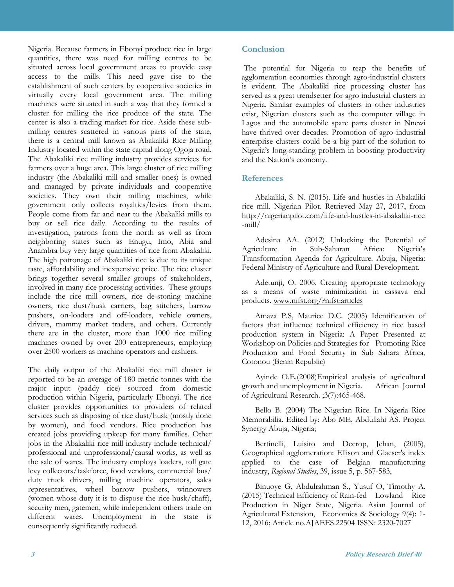Nigeria. Because farmers in Ebonyi produce rice in large quantities, there was need for milling centres to be situated across local government areas to provide easy access to the mills. This need gave rise to the establishment of such centers by cooperative societies in virtually every local government area. The milling machines were situated in such a way that they formed a cluster for milling the rice produce of the state. The center is also a trading market for rice. Aside these submilling centres scattered in various parts of the state, there is a central mill known as Abakaliki Rice Milling Industry located within the state capital along Ogoja road. The Abakaliki rice milling industry provides services for farmers over a huge area. This large cluster of rice milling industry (the Abakaliki mill and smaller ones) is owned and managed by private individuals and cooperative societies. They own their milling machines, while government only collects royalties/levies from them. People come from far and near to the Abakaliki mills to buy or sell rice daily. According to the results of investigation, patrons from the north as well as from neighboring states such as Enugu, Imo, Abia and Anambra buy very large quantities of rice from Abakaliki. The high patronage of Abakaliki rice is due to its unique taste, affordability and inexpensive price. The rice cluster brings together several smaller groups of stakeholders, involved in many rice processing activities. These groups include the rice mill owners, rice de-stoning machine owners, rice dust/husk carriers, bag stitchers, barrow pushers, on-loaders and off-loaders, vehicle owners, drivers, mammy market traders, and others. Currently there are in the cluster, more than 1000 rice milling machines owned by over 200 entrepreneurs, employing over 2500 workers as machine operators and cashiers.

The daily output of the Abakaliki rice mill cluster is reported to be an average of 180 metric tonnes with the major input (paddy rice) sourced from domestic production within Nigeria, particularly Ebonyi. The rice cluster provides opportunities to providers of related services such as disposing of rice dust/husk (mostly done by women), and food vendors. Rice production has created jobs providing upkeep for many families. Other jobs in the Abakaliki rice mill industry include technical/ professional and unprofessional/causal works, as well as the sale of wares. The industry employs loaders, toll gate levy collectors/taskforce, food vendors, commercial bus/ duty truck drivers, milling machine operators, sales representatives, wheel barrow pushers, winnowers (women whose duty it is to dispose the rice husk/chaff), security men, gatemen, while independent others trade on different wares. Unemployment in the state is consequently significantly reduced.

#### **Conclusion**

The potential for Nigeria to reap the benefits of agglomeration economies through agro-industrial clusters is evident. The Abakaliki rice processing cluster has served as a great trendsetter for agro industrial clusters in Nigeria. Similar examples of clusters in other industries exist, Nigerian clusters such as the computer village in Lagos and the automobile spare parts cluster in Nnewi have thrived over decades. Promotion of agro industrial enterprise clusters could be a big part of the solution to Nigeria's long-standing problem in boosting productivity and the Nation's economy.

#### **References**

Abakaliki, S. N. (2015). Life and hustles in Abakaliki rice mill. Nigerian Pilot. Retrieved May 27, 2017, from http://nigerianpilot.com/life-and-hustles-in-abakaliki-rice -mill/

Adesina AA. (2012) Unlocking the Potential of Agriculture in Sub-Saharan Africa: Nigeria's Transformation Agenda for Agriculture. Abuja, Nigeria: Federal Ministry of Agriculture and Rural Development.

Adetunji, O. 2006. Creating appropriate technology as a means of waste minimization in cassava end products. [www.nifst.org/?nifst:articles](http://www.nifst.org/?nifst:articles)

Amaza P.S, Maurice D.C. (2005) Identification of factors that influence technical efficiency in rice based production system in Nigeria: A Paper Presented at Workshop on Policies and Strategies for Promoting Rice Production and Food Security in Sub Sahara Africa, Cotonou (Benin Republic)

Ayinde O.E.(2008)Empirical analysis of agricultural growth and unemployment in Nigeria. African Journal of Agricultural Research. ;3(7):465-468.

Bello B. (2004) The Nigerian Rice. In Nigeria Rice Memorabilia. Edited by: Abo ME, Abdullahi AS. Project Synergy Abuja, Nigeria;

Bertinelli, Luisito and Decrop, Jehan, (2005), Geographical agglomeration: Ellison and Glaeser's index applied to the case of Belgian manufacturing industry, *Regional Studies*, 39, issue 5, p. 567-583,

Binuoye G, Abdulrahman S., Yusuf O, Timothy A. (2015) Technical Efficiency of Rain-fed Lowland Rice Production in Niger State, Nigeria. Asian Journal of Agricultural Extension, Economics & Sociology 9(4): 1- 12, 2016; Article no.AJAEES.22504 ISSN: 2320-7027